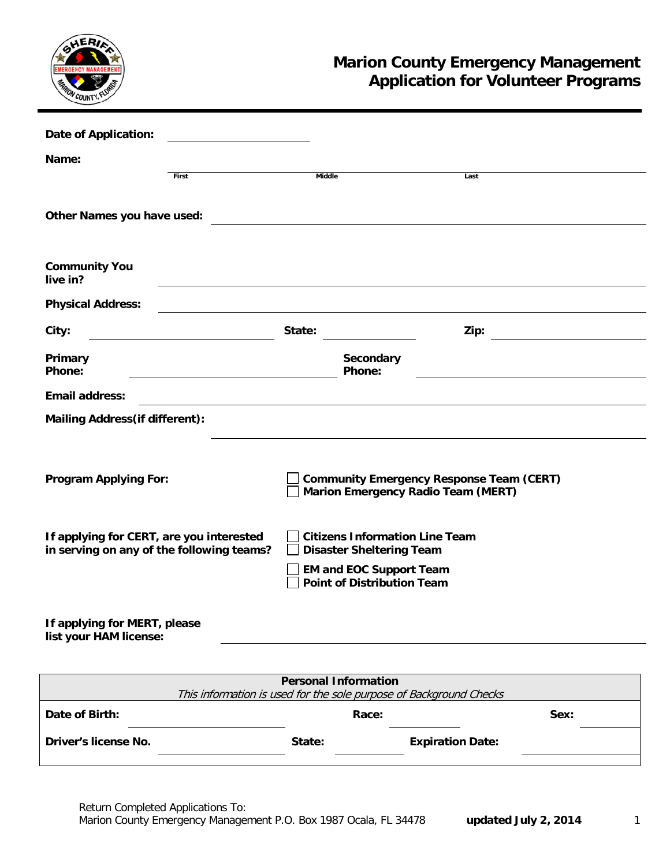

## **Marion County Emergency Management Application for Volunteer Programs**

| <b>Date of Application:</b>                                                           |                                                                                                                                                 |      |  |
|---------------------------------------------------------------------------------------|-------------------------------------------------------------------------------------------------------------------------------------------------|------|--|
| Name:                                                                                 |                                                                                                                                                 |      |  |
| First                                                                                 | <b>Middle</b>                                                                                                                                   | Last |  |
| Other Names you have used:                                                            |                                                                                                                                                 |      |  |
| <b>Community You</b><br>live in?                                                      |                                                                                                                                                 |      |  |
| <b>Physical Address:</b>                                                              |                                                                                                                                                 |      |  |
| City:                                                                                 | State:                                                                                                                                          | Zip: |  |
| Primary<br>Phone:                                                                     | Secondary<br>Phone:                                                                                                                             |      |  |
| <b>Email address:</b>                                                                 |                                                                                                                                                 |      |  |
| <b>Mailing Address (if different):</b>                                                |                                                                                                                                                 |      |  |
| <b>Program Applying For:</b>                                                          | <b>Community Emergency Response Team (CERT)</b><br><b>Marion Emergency Radio Team (MERT)</b>                                                    |      |  |
| If applying for CERT, are you interested<br>in serving on any of the following teams? | <b>Citizens Information Line Team</b><br><b>Disaster Sheltering Team</b><br><b>EM and EOC Support Team</b><br><b>Point of Distribution Team</b> |      |  |
| If applying for MERT, please<br>list your HAM license:                                |                                                                                                                                                 |      |  |

| <b>Personal Information</b>                                        |        |                         |      |  |  |  |  |
|--------------------------------------------------------------------|--------|-------------------------|------|--|--|--|--|
| This information is used for the sole purpose of Background Checks |        |                         |      |  |  |  |  |
| Date of Birth:                                                     | Race:  |                         | Sex: |  |  |  |  |
| Driver's license No.                                               | State: | <b>Expiration Date:</b> |      |  |  |  |  |
|                                                                    |        |                         |      |  |  |  |  |